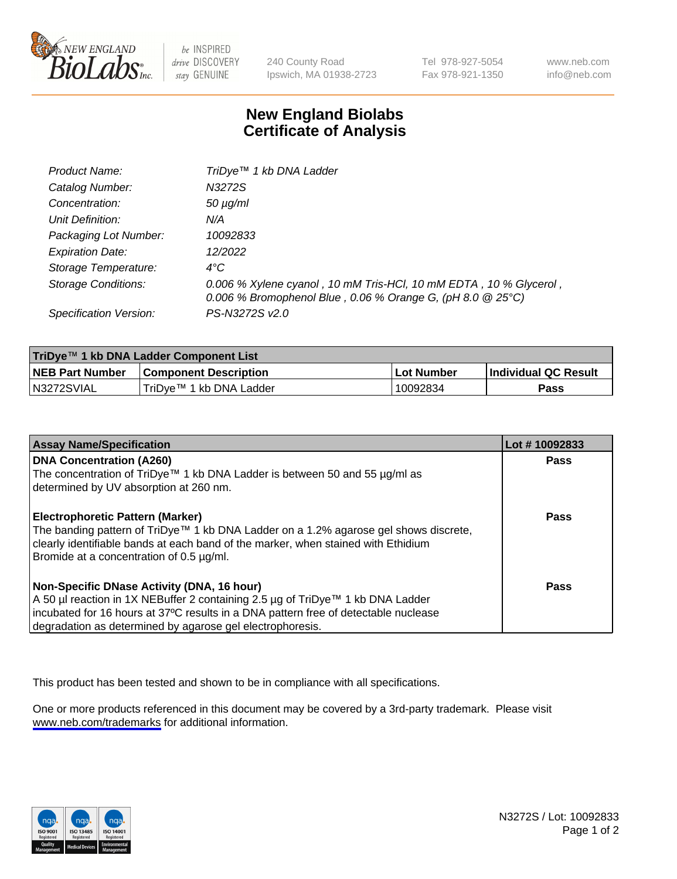

be INSPIRED drive DISCOVERY stay GENUINE

240 County Road Ipswich, MA 01938-2723 Tel 978-927-5054 Fax 978-921-1350

www.neb.com info@neb.com

## **New England Biolabs Certificate of Analysis**

| Product Name:           | TriDye <sup>™</sup> 1 kb DNA Ladder                                                                                             |
|-------------------------|---------------------------------------------------------------------------------------------------------------------------------|
| Catalog Number:         | N3272S                                                                                                                          |
| Concentration:          | $50 \mu g/ml$                                                                                                                   |
| Unit Definition:        | N/A                                                                                                                             |
| Packaging Lot Number:   | 10092833                                                                                                                        |
| <b>Expiration Date:</b> | 12/2022                                                                                                                         |
| Storage Temperature:    | 4°C                                                                                                                             |
| Storage Conditions:     | 0.006 % Xylene cyanol, 10 mM Tris-HCl, 10 mM EDTA, 10 % Glycerol,<br>0.006 % Bromophenol Blue, 0.06 % Orange G, (pH 8.0 @ 25°C) |
| Specification Version:  | PS-N3272S v2.0                                                                                                                  |

| TriDye™ 1 kb DNA Ladder Component List |                              |                   |                      |  |
|----------------------------------------|------------------------------|-------------------|----------------------|--|
| <b>NEB Part Number</b>                 | <b>Component Description</b> | <b>Lot Number</b> | Individual QC Result |  |
| N3272SVIAL                             | TriDve™ 1 kb DNA Ladder      | 10092834          | Pass                 |  |

| <b>Assay Name/Specification</b>                                                                                               | Lot #10092833 |
|-------------------------------------------------------------------------------------------------------------------------------|---------------|
| <b>DNA Concentration (A260)</b>                                                                                               | <b>Pass</b>   |
| The concentration of TriDye™ 1 kb DNA Ladder is between 50 and 55 µg/ml as                                                    |               |
| determined by UV absorption at 260 nm.                                                                                        |               |
| <b>Electrophoretic Pattern (Marker)</b>                                                                                       | Pass          |
| The banding pattern of TriDye™ 1 kb DNA Ladder on a 1.2% agarose gel shows discrete,                                          |               |
| clearly identifiable bands at each band of the marker, when stained with Ethidium<br>Bromide at a concentration of 0.5 µg/ml. |               |
|                                                                                                                               |               |
| Non-Specific DNase Activity (DNA, 16 hour)                                                                                    | Pass          |
| A 50 µl reaction in 1X NEBuffer 2 containing 2.5 µg of TriDye™ 1 kb DNA Ladder                                                |               |
| incubated for 16 hours at 37°C results in a DNA pattern free of detectable nuclease                                           |               |
| degradation as determined by agarose gel electrophoresis.                                                                     |               |

This product has been tested and shown to be in compliance with all specifications.

One or more products referenced in this document may be covered by a 3rd-party trademark. Please visit <www.neb.com/trademarks>for additional information.